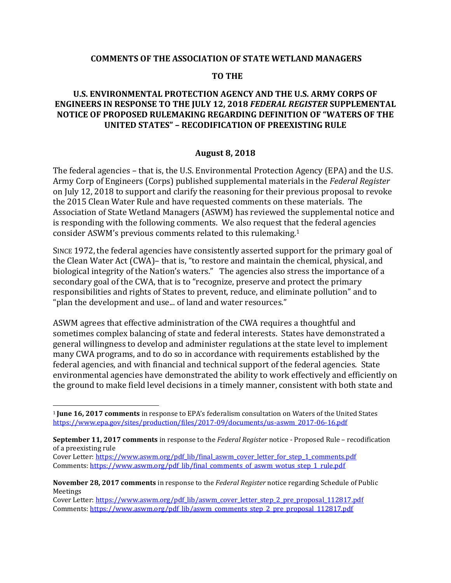### **COMMENTS OF THE ASSOCIATION OF STATE WETLAND MANAGERS**

#### **TO THE**

## **U.S. ENVIRONMENTAL PROTECTION AGENCY AND THE U.S. ARMY CORPS OF ENGINEERS IN RESPONSE TO THE JULY 12, 2018** *FEDERAL REGISTER* **SUPPLEMENTAL NOTICE OF PROPOSED RULEMAKING REGARDING DEFINITION OF "WATERS OF THE UNITED STATES" – RECODIFICATION OF PREEXISTING RULE**

#### **August 8, 2018**

The federal agencies – that is, the U.S. Environmental Protection Agency (EPA) and the U.S. Army Corp of Engineers (Corps) published supplemental materials in the *Federal Register*  on July 12, 2018 to support and clarify the reasoning for their previous proposal to revoke the 2015 Clean Water Rule and have requested comments on these materials. The Association of State Wetland Managers (ASWM) has reviewed the supplemental notice and is responding with the following comments. We also request that the federal agencies consider ASWM's previous comments related to this rulemaking.<sup>1</sup>

SINCE 1972, the federal agencies have consistently asserted support for the primary goal of the Clean Water Act (CWA)– that is, "to restore and maintain the chemical, physical, and biological integrity of the Nation's waters." The agencies also stress the importance of a secondary goal of the CWA, that is to "recognize, preserve and protect the primary responsibilities and rights of States to prevent, reduce, and eliminate pollution" and to "plan the development and use... of land and water resources."

ASWM agrees that effective administration of the CWA requires a thoughtful and sometimes complex balancing of state and federal interests. States have demonstrated a general willingness to develop and administer regulations at the state level to implement many CWA programs, and to do so in accordance with requirements established by the federal agencies, and with financial and technical support of the federal agencies. State environmental agencies have demonstrated the ability to work effectively and efficiently on the ground to make field level decisions in a timely manner, consistent with both state and

<sup>1</sup>**June 16, 2017 comments** in response to EPA's federalism consultation on Waters of the United States [https://www.epa.gov/sites/production/files/2017-09/documents/us-aswm\\_2017-06-16.pdf](https://www.epa.gov/sites/production/files/2017-09/documents/us-aswm_2017-06-16.pdf)

**September 11, 2017 comments** in response to the *Federal Register* notice - Proposed Rule – recodification of a preexisting rule

Cover Letter: [https://www.aswm.org/pdf\\_lib/final\\_aswm\\_cover\\_letter\\_for\\_step\\_1\\_comments.pdf](https://www.aswm.org/pdf_lib/final_aswm_cover_letter_for_step_1_comments.pdf) Comments[: https://www.aswm.org/pdf\\_lib/final\\_comments\\_of\\_aswm\\_wotus\\_step\\_1\\_rule.pdf](https://www.aswm.org/pdf_lib/final_comments_of_aswm_wotus_step_1_rule.pdf)

**November 28, 2017 comments** in response to the *Federal Register* notice regarding Schedule of Public Meetings

Cover Letter: [https://www.aswm.org/pdf\\_lib/aswm\\_cover\\_letter\\_step\\_2\\_pre\\_proposal\\_112817.pdf](https://www.aswm.org/pdf_lib/aswm_cover_letter_step_2_pre_proposal_112817.pdf) Comments: [https://www.aswm.org/pdf\\_lib/aswm\\_comments\\_step\\_2\\_pre\\_proposal\\_112817.pdf](https://www.aswm.org/pdf_lib/aswm_comments_step_2_pre_proposal_112817.pdf)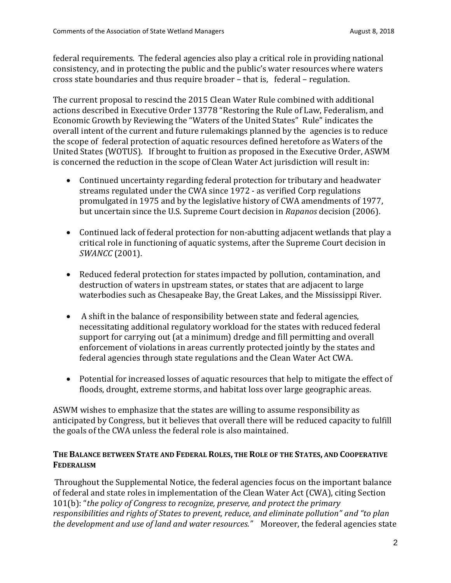federal requirements. The federal agencies also play a critical role in providing national consistency, and in protecting the public and the public's water resources where waters cross state boundaries and thus require broader – that is, federal – regulation.

The current proposal to rescind the 2015 Clean Water Rule combined with additional actions described in Executive Order 13778 "Restoring the Rule of Law, Federalism, and Economic Growth by Reviewing the "Waters of the United States" Rule" indicates the overall intent of the current and future rulemakings planned by the agencies is to reduce the scope of federal protection of aquatic resources defined heretofore as Waters of the United States (WOTUS). If brought to fruition as proposed in the Executive Order, ASWM is concerned the reduction in the scope of Clean Water Act jurisdiction will result in:

- Continued uncertainty regarding federal protection for tributary and headwater streams regulated under the CWA since 1972 - as verified Corp regulations promulgated in 1975 and by the legislative history of CWA amendments of 1977, but uncertain since the U.S. Supreme Court decision in *Rapanos* decision (2006).
- Continued lack of federal protection for non-abutting adjacent wetlands that play a critical role in functioning of aquatic systems, after the Supreme Court decision in *SWANCC* (2001).
- Reduced federal protection for states impacted by pollution, contamination, and destruction of waters in upstream states, or states that are adjacent to large waterbodies such as Chesapeake Bay, the Great Lakes, and the Mississippi River.
- A shift in the balance of responsibility between state and federal agencies, necessitating additional regulatory workload for the states with reduced federal support for carrying out (at a minimum) dredge and fill permitting and overall enforcement of violations in areas currently protected jointly by the states and federal agencies through state regulations and the Clean Water Act CWA.
- Potential for increased losses of aquatic resources that help to mitigate the effect of floods, drought, extreme storms, and habitat loss over large geographic areas.

ASWM wishes to emphasize that the states are willing to assume responsibility as anticipated by Congress, but it believes that overall there will be reduced capacity to fulfill the goals of the CWA unless the federal role is also maintained.

## THE BALANCE BETWEEN STATE AND FEDERAL ROLES, THE ROLE OF THE STATES, AND COOPERATIVE **FEDERALISM**

Throughout the Supplemental Notice, the federal agencies focus on the important balance of federal and state roles in implementation of the Clean Water Act (CWA), citing Section 101(b): "*the policy of Congress to recognize, preserve, and protect the primary responsibilities and rights of States to prevent, reduce, and eliminate pollution" and "to plan the development and use of land and water resources."* Moreover, the federal agencies state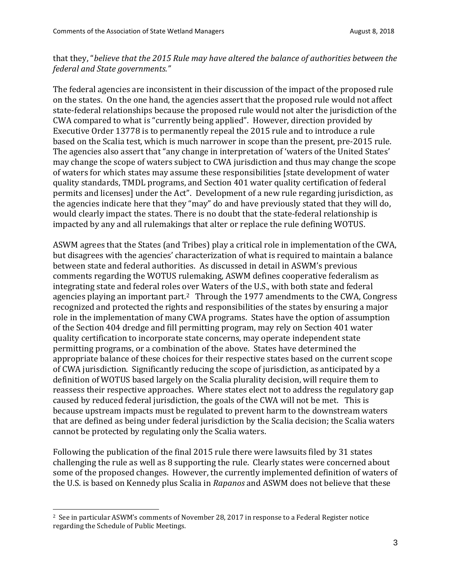that they, "*believe that the 2015 Rule may have altered the balance of authorities between the federal and State governments."*

The federal agencies are inconsistent in their discussion of the impact of the proposed rule on the states. On the one hand, the agencies assert that the proposed rule would not affect state-federal relationships because the proposed rule would not alter the jurisdiction of the CWA compared to what is "currently being applied". However, direction provided by Executive Order 13778 is to permanently repeal the 2015 rule and to introduce a rule based on the Scalia test, which is much narrower in scope than the present, pre-2015 rule. The agencies also assert that "any change in interpretation of 'waters of the United States' may change the scope of waters subject to CWA jurisdiction and thus may change the scope of waters for which states may assume these responsibilities [state development of water quality standards, TMDL programs, and Section 401 water quality certification of federal permits and licenses] under the Act". Development of a new rule regarding jurisdiction, as the agencies indicate here that they "may" do and have previously stated that they will do, would clearly impact the states. There is no doubt that the state-federal relationship is impacted by any and all rulemakings that alter or replace the rule defining WOTUS.

ASWM agrees that the States (and Tribes) play a critical role in implementation of the CWA, but disagrees with the agencies' characterization of what is required to maintain a balance between state and federal authorities. As discussed in detail in ASWM's previous comments regarding the WOTUS rulemaking, ASWM defines cooperative federalism as integrating state and federal roles over Waters of the U.S., with both state and federal agencies playing an important part.<sup>2</sup> Through the 1977 amendments to the CWA, Congress recognized and protected the rights and responsibilities of the states by ensuring a major role in the implementation of many CWA programs. States have the option of assumption of the Section 404 dredge and fill permitting program, may rely on Section 401 water quality certification to incorporate state concerns, may operate independent state permitting programs, or a combination of the above. States have determined the appropriate balance of these choices for their respective states based on the current scope of CWA jurisdiction. Significantly reducing the scope of jurisdiction, as anticipated by a definition of WOTUS based largely on the Scalia plurality decision, will require them to reassess their respective approaches. Where states elect not to address the regulatory gap caused by reduced federal jurisdiction, the goals of the CWA will not be met. This is because upstream impacts must be regulated to prevent harm to the downstream waters that are defined as being under federal jurisdiction by the Scalia decision; the Scalia waters cannot be protected by regulating only the Scalia waters.

Following the publication of the final 2015 rule there were lawsuits filed by 31 states challenging the rule as well as 8 supporting the rule. Clearly states were concerned about some of the proposed changes. However, the currently implemented definition of waters of the U.S. is based on Kennedy plus Scalia in *Rapanos* and ASWM does not believe that these

 $\overline{a}$ 

<sup>2</sup> See in particular ASWM's comments of November 28, 2017 in response to a Federal Register notice regarding the Schedule of Public Meetings.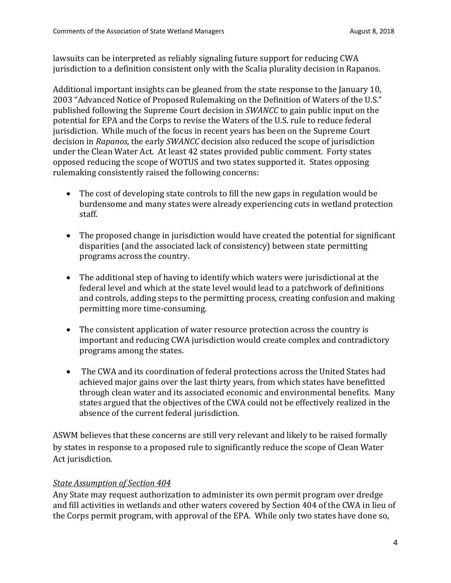lawsuits can be interpreted as reliably signaling future support for reducing CWA jurisdiction to a definition consistent only with the Scalia plurality decision in Rapanos.

Additional important insights can be gleaned from the state response to the January 10, 2003 "Advanced Notice of Proposed Rulemaking on the Definition of Waters of the U.S." published following the Supreme Court decision in *SWANCC* to gain public input on the potential for EPA and the Corps to revise the Waters of the U.S. rule to reduce federal jurisdiction. While much of the focus in recent years has been on the Supreme Court decision in *Rapanos*, the early *SWANCC* decision also reduced the scope of jurisdiction under the Clean Water Act. At least 42 states provided public comment. Forty states opposed reducing the scope of WOTUS and two states supported it. States opposing rulemaking consistently raised the following concerns:

- The cost of developing state controls to fill the new gaps in regulation would be burdensome and many states were already experiencing cuts in wetland protection staff.
- The proposed change in jurisdiction would have created the potential for significant disparities (and the associated lack of consistency) between state permitting programs across the country.
- The additional step of having to identify which waters were jurisdictional at the federal level and which at the state level would lead to a patchwork of definitions and controls, adding steps to the permitting process, creating confusion and making permitting more time-consuming.
- The consistent application of water resource protection across the country is important and reducing CWA jurisdiction would create complex and contradictory programs among the states.
- The CWA and its coordination of federal protections across the United States had achieved major gains over the last thirty years, from which states have benefitted through clean water and its associated economic and environmental benefits. Many states argued that the objectives of the CWA could not be effectively realized in the absence of the current federal jurisdiction.

ASWM believes that these concerns are still very relevant and likely to be raised formally by states in response to a proposed rule to significantly reduce the scope of Clean Water Act jurisdiction.

# *State Assumption of Section 404*

Any State may request authorization to administer its own permit program over dredge and fill activities in wetlands and other waters covered by Section 404 of the CWA in lieu of the Corps permit program, with approval of the EPA. While only two states have done so,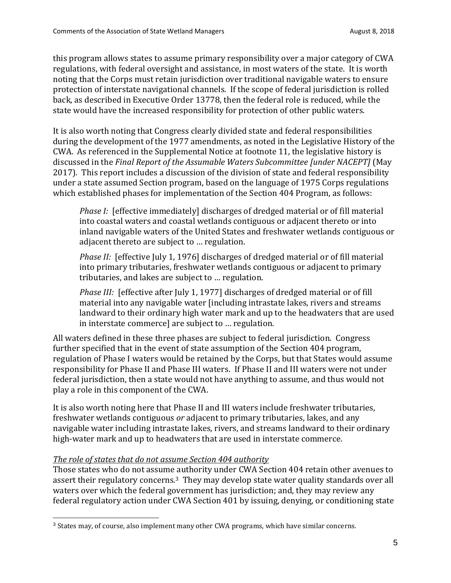this program allows states to assume primary responsibility over a major category of CWA regulations, with federal oversight and assistance, in most waters of the state. It is worth noting that the Corps must retain jurisdiction over traditional navigable waters to ensure protection of interstate navigational channels. If the scope of federal jurisdiction is rolled back, as described in Executive Order 13778, then the federal role is reduced, while the state would have the increased responsibility for protection of other public waters.

It is also worth noting that Congress clearly divided state and federal responsibilities during the development of the 1977 amendments, as noted in the Legislative History of the CWA. As referenced in the Supplemental Notice at footnote 11, the legislative history is discussed in the *Final Report of the Assumable Waters Subcommittee [under NACEPT]* (May 2017)*.* This report includes a discussion of the division of state and federal responsibility under a state assumed Section program, based on the language of 1975 Corps regulations which established phases for implementation of the Section 404 Program, as follows:

*Phase I:* [effective immediately] discharges of dredged material or of fill material into coastal waters and coastal wetlands contiguous or adjacent thereto or into inland navigable waters of the United States and freshwater wetlands contiguous or adjacent thereto are subject to … regulation.

*Phase II:* [effective July 1, 1976] discharges of dredged material or of fill material into primary tributaries, freshwater wetlands contiguous or adjacent to primary tributaries, and lakes are subject to … regulation.

*Phase III:* [effective after July 1, 1977] discharges of dredged material or of fill material into any navigable water [including intrastate lakes, rivers and streams landward to their ordinary high water mark and up to the headwaters that are used in interstate commerce] are subject to … regulation.

All waters defined in these three phases are subject to federal jurisdiction. Congress further specified that in the event of state assumption of the Section 404 program, regulation of Phase I waters would be retained by the Corps, but that States would assume responsibility for Phase II and Phase III waters. If Phase II and III waters were not under federal jurisdiction, then a state would not have anything to assume, and thus would not play a role in this component of the CWA.

It is also worth noting here that Phase II and III waters include freshwater tributaries, freshwater wetlands contiguous *or* adjacent to primary tributaries, lakes, and any navigable water including intrastate lakes, rivers, and streams landward to their ordinary high-water mark and up to headwaters that are used in interstate commerce.

# *The role of states that do not assume Section 404 authority*

Those states who do not assume authority under CWA Section 404 retain other avenues to assert their regulatory concerns.3 They may develop state water quality standards over all waters over which the federal government has jurisdiction; and, they may review any federal regulatory action under CWA Section 401 by issuing, denying, or conditioning state

 $\overline{a}$ <sup>3</sup> States may, of course, also implement many other CWA programs, which have similar concerns.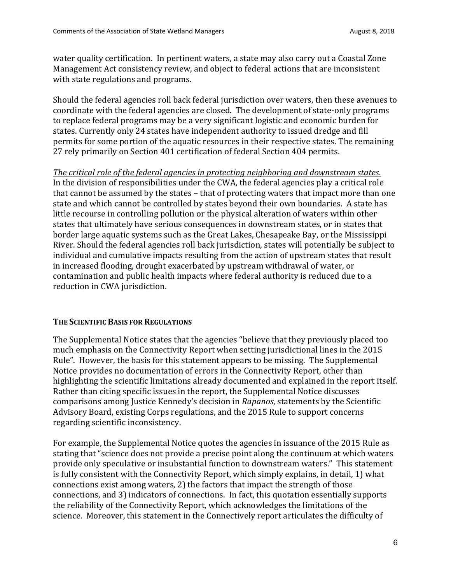water quality certification. In pertinent waters, a state may also carry out a Coastal Zone Management Act consistency review, and object to federal actions that are inconsistent with state regulations and programs.

Should the federal agencies roll back federal jurisdiction over waters, then these avenues to coordinate with the federal agencies are closed. The development of state-only programs to replace federal programs may be a very significant logistic and economic burden for states. Currently only 24 states have independent authority to issued dredge and fill permits for some portion of the aquatic resources in their respective states. The remaining 27 rely primarily on Section 401 certification of federal Section 404 permits.

*The critical role of the federal agencies in protecting neighboring and downstream states.* In the division of responsibilities under the CWA, the federal agencies play a critical role that cannot be assumed by the states – that of protecting waters that impact more than one state and which cannot be controlled by states beyond their own boundaries. A state has little recourse in controlling pollution or the physical alteration of waters within other states that ultimately have serious consequences in downstream states, or in states that border large aquatic systems such as the Great Lakes, Chesapeake Bay, or the Mississippi River. Should the federal agencies roll back jurisdiction, states will potentially be subject to individual and cumulative impacts resulting from the action of upstream states that result in increased flooding, drought exacerbated by upstream withdrawal of water, or contamination and public health impacts where federal authority is reduced due to a reduction in CWA jurisdiction.

### **THE SCIENTIFIC BASIS FOR REGULATIONS**

The Supplemental Notice states that the agencies "believe that they previously placed too much emphasis on the Connectivity Report when setting jurisdictional lines in the 2015 Rule". However, the basis for this statement appears to be missing. The Supplemental Notice provides no documentation of errors in the Connectivity Report, other than highlighting the scientific limitations already documented and explained in the report itself. Rather than citing specific issues in the report, the Supplemental Notice discusses comparisons among Justice Kennedy's decision in *Rapanos*, statements by the Scientific Advisory Board, existing Corps regulations, and the 2015 Rule to support concerns regarding scientific inconsistency.

For example, the Supplemental Notice quotes the agencies in issuance of the 2015 Rule as stating that "science does not provide a precise point along the continuum at which waters provide only speculative or insubstantial function to downstream waters." This statement is fully consistent with the Connectivity Report, which simply explains, in detail, 1) what connections exist among waters, 2) the factors that impact the strength of those connections, and 3) indicators of connections. In fact, this quotation essentially supports the reliability of the Connectivity Report, which acknowledges the limitations of the science. Moreover, this statement in the Connectively report articulates the difficulty of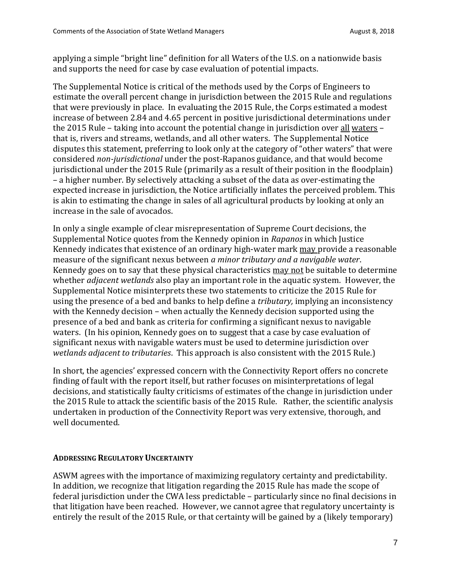applying a simple "bright line" definition for all Waters of the U.S. on a nationwide basis and supports the need for case by case evaluation of potential impacts.

The Supplemental Notice is critical of the methods used by the Corps of Engineers to estimate the overall percent change in jurisdiction between the 2015 Rule and regulations that were previously in place. In evaluating the 2015 Rule, the Corps estimated a modest increase of between 2.84 and 4.65 percent in positive jurisdictional determinations under the 2015 Rule – taking into account the potential change in jurisdiction over all waters – that is, rivers and streams, wetlands, and all other waters. The Supplemental Notice disputes this statement, preferring to look only at the category of "other waters" that were considered *non-jurisdictional* under the post-Rapanos guidance, and that would become jurisdictional under the 2015 Rule (primarily as a result of their position in the floodplain) – a higher number. By selectively attacking a subset of the data as over-estimating the expected increase in jurisdiction, the Notice artificially inflates the perceived problem. This is akin to estimating the change in sales of all agricultural products by looking at only an increase in the sale of avocados.

In only a single example of clear misrepresentation of Supreme Court decisions, the Supplemental Notice quotes from the Kennedy opinion in *Rapanos* in which Justice Kennedy indicates that existence of an ordinary high-water mark may provide a reasonable measure of the significant nexus between *a minor tributary and a navigable water*. Kennedy goes on to say that these physical characteristics may not be suitable to determine whether *adjacent wetlands* also play an important role in the aquatic system. However, the Supplemental Notice misinterprets these two statements to criticize the 2015 Rule for using the presence of a bed and banks to help define a *tributary,* implying an inconsistency with the Kennedy decision – when actually the Kennedy decision supported using the presence of a bed and bank as criteria for confirming a significant nexus to navigable waters. (In his opinion, Kennedy goes on to suggest that a case by case evaluation of significant nexus with navigable waters must be used to determine jurisdiction over *wetlands adjacent to tributaries*. This approach is also consistent with the 2015 Rule.)

In short, the agencies' expressed concern with the Connectivity Report offers no concrete finding of fault with the report itself, but rather focuses on misinterpretations of legal decisions, and statistically faulty criticisms of estimates of the change in jurisdiction under the 2015 Rule to attack the scientific basis of the 2015 Rule. Rather, the scientific analysis undertaken in production of the Connectivity Report was very extensive, thorough, and well documented.

## **ADDRESSING REGULATORY UNCERTAINTY**

ASWM agrees with the importance of maximizing regulatory certainty and predictability. In addition, we recognize that litigation regarding the 2015 Rule has made the scope of federal jurisdiction under the CWA less predictable – particularly since no final decisions in that litigation have been reached. However, we cannot agree that regulatory uncertainty is entirely the result of the 2015 Rule, or that certainty will be gained by a (likely temporary)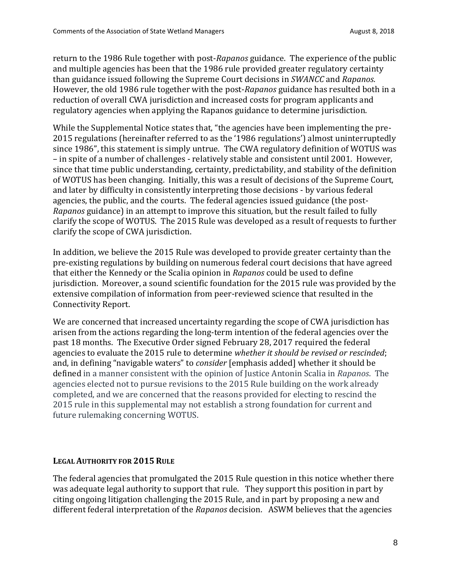return to the 1986 Rule together with post-*Rapanos* guidance. The experience of the public and multiple agencies has been that the 1986 rule provided greater regulatory certainty than guidance issued following the Supreme Court decisions in *SWANCC* and *Rapanos.*  However, the old 1986 rule together with the post-*Rapanos* guidance has resulted both in a reduction of overall CWA jurisdiction and increased costs for program applicants and regulatory agencies when applying the Rapanos guidance to determine jurisdiction.

While the Supplemental Notice states that, "the agencies have been implementing the pre-2015 regulations (hereinafter referred to as the '1986 regulations') almost uninterruptedly since 1986", this statement is simply untrue. The CWA regulatory definition of WOTUS was – in spite of a number of challenges - relatively stable and consistent until 2001. However, since that time public understanding, certainty, predictability, and stability of the definition of WOTUS has been changing. Initially, this was a result of decisions of the Supreme Court, and later by difficulty in consistently interpreting those decisions - by various federal agencies, the public, and the courts. The federal agencies issued guidance (the post-*Rapanos* guidance) in an attempt to improve this situation, but the result failed to fully clarify the scope of WOTUS. The 2015 Rule was developed as a result of requests to further clarify the scope of CWA jurisdiction.

In addition, we believe the 2015 Rule was developed to provide greater certainty than the pre-existing regulations by building on numerous federal court decisions that have agreed that either the Kennedy or the Scalia opinion in *Rapanos* could be used to define jurisdiction. Moreover, a sound scientific foundation for the 2015 rule was provided by the extensive compilation of information from peer-reviewed science that resulted in the Connectivity Report.

We are concerned that increased uncertainty regarding the scope of CWA jurisdiction has arisen from the actions regarding the long-term intention of the federal agencies over the past 18 months. The Executive Order signed February 28, 2017 required the federal agencies to evaluate the 2015 rule to determine *whether it should be revised or rescinded*; and, in defining "navigable waters" to *consider* [emphasis added] whether it should be defined in a manner consistent with the opinion of Justice Antonin Scalia in *Rapanos*. The agencies elected not to pursue revisions to the 2015 Rule building on the work already completed, and we are concerned that the reasons provided for electing to rescind the 2015 rule in this supplemental may not establish a strong foundation for current and future rulemaking concerning WOTUS.

## **LEGAL AUTHORITY FOR 2015 RULE**

The federal agencies that promulgated the 2015 Rule question in this notice whether there was adequate legal authority to support that rule. They support this position in part by citing ongoing litigation challenging the 2015 Rule, and in part by proposing a new and different federal interpretation of the *Rapanos* decision. ASWM believes that the agencies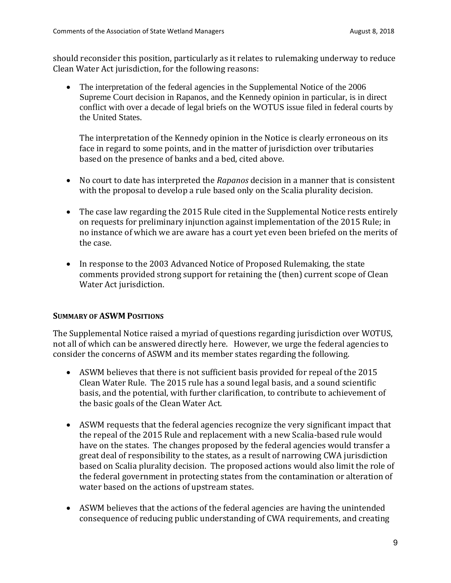should reconsider this position, particularly as it relates to rulemaking underway to reduce Clean Water Act jurisdiction, for the following reasons:

• The interpretation of the federal agencies in the Supplemental Notice of the 2006 Supreme Court decision in Rapanos, and the Kennedy opinion in particular, is in direct conflict with over a decade of legal briefs on the WOTUS issue filed in federal courts by the United States.

The interpretation of the Kennedy opinion in the Notice is clearly erroneous on its face in regard to some points, and in the matter of jurisdiction over tributaries based on the presence of banks and a bed, cited above.

- No court to date has interpreted the *Rapanos* decision in a manner that is consistent with the proposal to develop a rule based only on the Scalia plurality decision.
- The case law regarding the 2015 Rule cited in the Supplemental Notice rests entirely on requests for preliminary injunction against implementation of the 2015 Rule; in no instance of which we are aware has a court yet even been briefed on the merits of the case.
- In response to the 2003 Advanced Notice of Proposed Rulemaking, the state comments provided strong support for retaining the (then) current scope of Clean Water Act jurisdiction.

### **SUMMARY OF ASWM POSITIONS**

The Supplemental Notice raised a myriad of questions regarding jurisdiction over WOTUS, not all of which can be answered directly here. However, we urge the federal agencies to consider the concerns of ASWM and its member states regarding the following.

- ASWM believes that there is not sufficient basis provided for repeal of the 2015 Clean Water Rule. The 2015 rule has a sound legal basis, and a sound scientific basis, and the potential, with further clarification, to contribute to achievement of the basic goals of the Clean Water Act.
- ASWM requests that the federal agencies recognize the very significant impact that the repeal of the 2015 Rule and replacement with a new Scalia-based rule would have on the states. The changes proposed by the federal agencies would transfer a great deal of responsibility to the states, as a result of narrowing CWA jurisdiction based on Scalia plurality decision. The proposed actions would also limit the role of the federal government in protecting states from the contamination or alteration of water based on the actions of upstream states.
- ASWM believes that the actions of the federal agencies are having the unintended consequence of reducing public understanding of CWA requirements, and creating